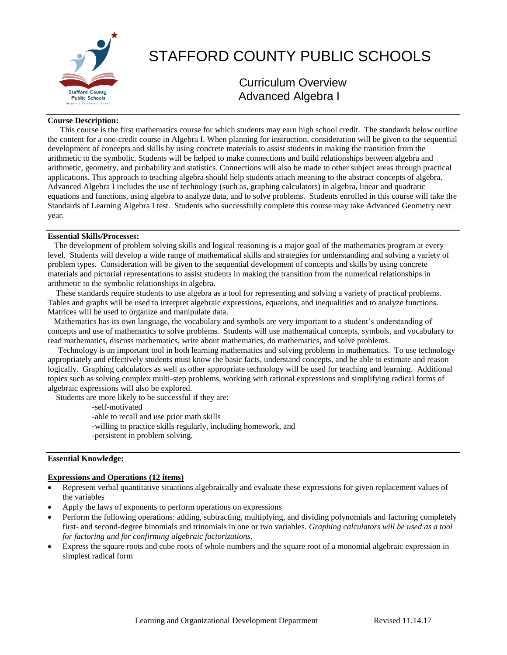

# STAFFORD COUNTY PUBLIC SCHOOLS

Curriculum Overview Advanced Algebra I

#### **Course Description:**

 This course is the first mathematics course for which students may earn high school credit. The standards below outline the content for a one-credit course in Algebra I. When planning for instruction, consideration will be given to the sequential development of concepts and skills by using concrete materials to assist students in making the transition from the arithmetic to the symbolic. Students will be helped to make connections and build relationships between algebra and arithmetic, geometry, and probability and statistics. Connections will also be made to other subject areas through practical applications. This approach to teaching algebra should help students attach meaning to the abstract concepts of algebra. Advanced Algebra I includes the use of technology (such as, graphing calculators) in algebra, linear and quadratic equations and functions, using algebra to analyze data, and to solve problems. Students enrolled in this course will take the Standards of Learning Algebra I test. Students who successfully complete this course may take Advanced Geometry next year.

#### **Essential Skills/Processes:**

 The development of problem solving skills and logical reasoning is a major goal of the mathematics program at every level. Students will develop a wide range of mathematical skills and strategies for understanding and solving a variety of problem types. Consideration will be given to the sequential development of concepts and skills by using concrete materials and pictorial representations to assist students in making the transition from the numerical relationships in arithmetic to the symbolic relationships in algebra.

 These standards require students to use algebra as a tool for representing and solving a variety of practical problems. Tables and graphs will be used to interpret algebraic expressions, equations, and inequalities and to analyze functions. Matrices will be used to organize and manipulate data.

 Mathematics has its own language, the vocabulary and symbols are very important to a student's understanding of concepts and use of mathematics to solve problems. Students will use mathematical concepts, symbols, and vocabulary to read mathematics, discuss mathematics, write about mathematics, do mathematics, and solve problems.

 Technology is an important tool in both learning mathematics and solving problems in mathematics. To use technology appropriately and effectively students must know the basic facts, understand concepts, and be able to estimate and reason logically. Graphing calculators as well as other appropriate technology will be used for teaching and learning. Additional topics such as solving complex multi-step problems, working with rational expressions and simplifying radical forms of algebraic expressions will also be explored.

Students are more likely to be successful if they are:

-self-motivated

-able to recall and use prior math skills

- -willing to practice skills regularly, including homework, and
- -persistent in problem solving.

### **Essential Knowledge:**

#### **Expressions and Operations (12 items)**

- Represent verbal quantitative situations algebraically and evaluate these expressions for given replacement values of the variables
- Apply the laws of exponents to perform operations on expressions
- Perform the following operations: adding, subtracting, multiplying, and dividing polynomials and factoring completely first- and second-degree binomials and trinomials in one or two variables. *Graphing calculators will be used as a tool for factoring and for confirming algebraic factorizations.*
- Express the square roots and cube roots of whole numbers and the square root of a monomial algebraic expression in simplest radical form